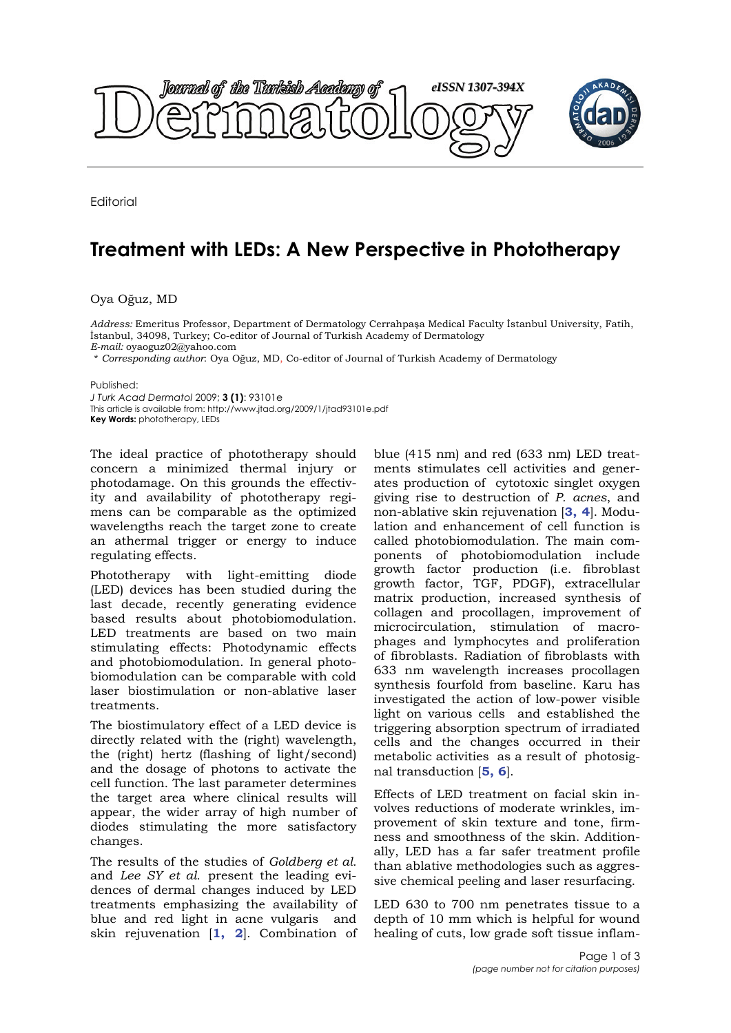

**Editorial** 

## **Treatment with LEDs: A New Perspective in Phototherapy**

Oya Oğuz, MD

*Address:* Emeritus Professor, Department of Dermatology Cerrahpaşa Medical Faculty İstanbul University, Fatih, İstanbul, 34098, Turkey; Co-editor of Journal of Turkish Academy of Dermatology *E-mail:* oyaoguz02@yahoo.com

\* *Corresponding author*: Oya Oğuz, MD, Co-editor of Journal of Turkish Academy of Dermatology

Published:

*J Turk Acad Dermatol* 2009; **3 (1)**: 93101e This article is available from: http://www.jtad.org/2009/1/jtad93101e.pdf **Key Words:** phototherapy, LEDs

The ideal practice of phototherapy should concern a minimized thermal injury or photodamage. On this grounds the effectivity and availability of phototherapy regimens can be comparable as the optimized wavelengths reach the target zone to create an athermal trigger or energy to induce regulating effects.

Phototherapy with light-emitting diode (LED) devices has been studied during the last decade, recently generating evidence based results about photobiomodulation. LED treatments are based on two main stimulating effects: Photodynamic effects and photobiomodulation. In general photobiomodulation can be comparable with cold laser biostimulation or non-ablative laser treatments.

The biostimulatory effect of a LED device is directly related with the (right) wavelength, the (right) hertz (flashing of light/second) and the dosage of photons to activate the cell function. The last parameter determines the target area where clinical results will appear, the wider array of high number of diodes stimulating the more satisfactory changes.

The results of the studies of *Goldberg et al.* and *Lee SY et al.* present the leading evidences of dermal changes induced by LED treatments emphasizing the availability of blue and red light in acne vulgaris and skin rejuvenation [**1, 2**]. Combination of blue (415 nm) and red (633 nm) LED treatments stimulates cell activities and generates production of cytotoxic singlet oxygen giving rise to destruction of *P. acnes*, and non-ablative skin rejuvenation [**3, 4**]. Modulation and enhancement of cell function is called photobiomodulation. The main components of photobiomodulation include growth factor production (i.e. fibroblast growth factor, TGF, PDGF), extracellular matrix production, increased synthesis of collagen and procollagen, improvement of microcirculation, stimulation of macrophages and lymphocytes and proliferation of fibroblasts. Radiation of fibroblasts with 633 nm wavelength increases procollagen synthesis fourfold from baseline. Karu has investigated the action of low-power visible light on various cells and established the triggering absorption spectrum of irradiated cells and the changes occurred in their metabolic activities as a result of photosignal transduction [**5, 6**].

Effects of LED treatment on facial skin involves reductions of moderate wrinkles, improvement of skin texture and tone, firmness and smoothness of the skin. Additionally, LED has a far safer treatment profile than ablative methodologies such as aggressive chemical peeling and laser resurfacing.

LED 630 to 700 nm penetrates tissue to a depth of 10 mm which is helpful for wound healing of cuts, low grade soft tissue inflam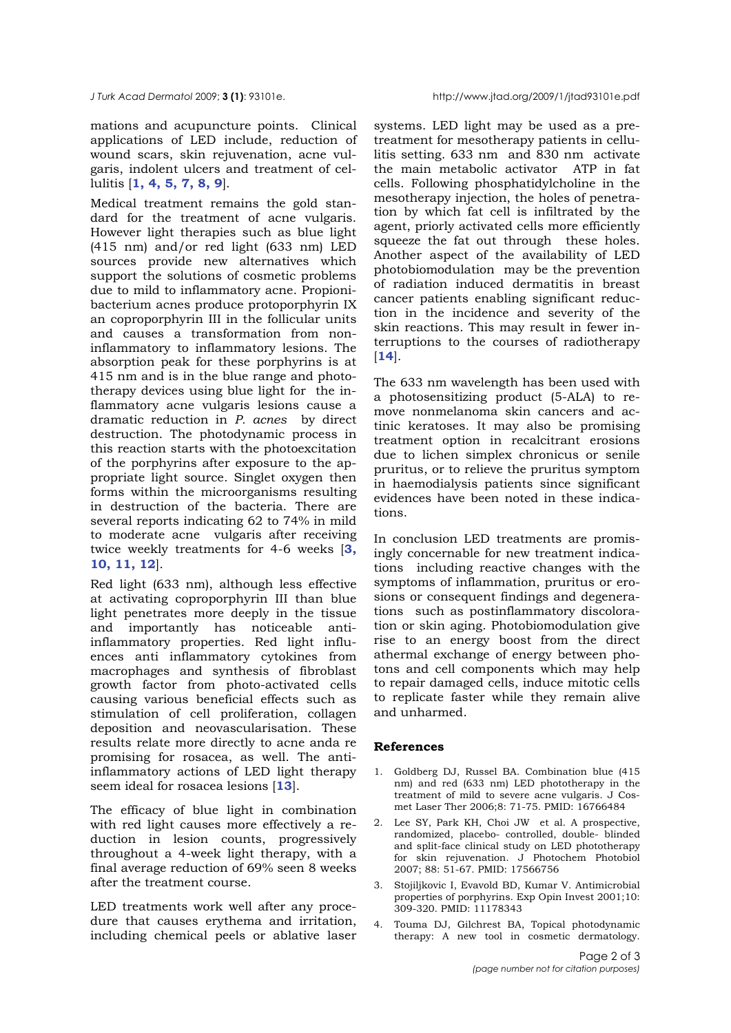mations and acupuncture points. Clinical applications of LED include, reduction of wound scars, skin rejuvenation, acne vulgaris, indolent ulcers and treatment of cellulitis [**1, 4, 5, 7, 8, 9**].

Medical treatment remains the gold standard for the treatment of acne vulgaris. However light therapies such as blue light (415 nm) and/or red light (633 nm) LED sources provide new alternatives which support the solutions of cosmetic problems due to mild to inflammatory acne. Propionibacterium acnes produce protoporphyrin IX an coproporphyrin III in the follicular units and causes a transformation from noninflammatory to inflammatory lesions. The absorption peak for these porphyrins is at 415 nm and is in the blue range and phototherapy devices using blue light for the inflammatory acne vulgaris lesions cause a dramatic reduction in *P. acnes* by direct destruction. The photodynamic process in this reaction starts with the photoexcitation of the porphyrins after exposure to the appropriate light source. Singlet oxygen then forms within the microorganisms resulting in destruction of the bacteria. There are several reports indicating 62 to 74% in mild to moderate acne vulgaris after receiving twice weekly treatments for 4-6 weeks [**3, 10, 11, 12**].

Red light (633 nm), although less effective at activating coproporphyrin III than blue light penetrates more deeply in the tissue and importantly has noticeable antiinflammatory properties. Red light influences anti inflammatory cytokines from macrophages and synthesis of fibroblast growth factor from photo-activated cells causing various beneficial effects such as stimulation of cell proliferation, collagen deposition and neovascularisation. These results relate more directly to acne anda re promising for rosacea, as well. The antiinflammatory actions of LED light therapy seem ideal for rosacea lesions [**13**].

The efficacy of blue light in combination with red light causes more effectively a reduction in lesion counts, progressively throughout a 4-week light therapy, with a final average reduction of 69% seen 8 weeks after the treatment course.

LED treatments work well after any procedure that causes erythema and irritation, including chemical peels or ablative laser

systems. LED light may be used as a pretreatment for mesotherapy patients in cellulitis setting. 633 nm and 830 nm activate the main metabolic activator ATP in fat cells. Following phosphatidylcholine in the mesotherapy injection, the holes of penetration by which fat cell is infiltrated by the agent, priorly activated cells more efficiently squeeze the fat out through these holes. Another aspect of the availability of LED photobiomodulation may be the prevention of radiation induced dermatitis in breast cancer patients enabling significant reduction in the incidence and severity of the skin reactions. This may result in fewer interruptions to the courses of radiotherapy [**14**].

The 633 nm wavelength has been used with a photosensitizing product (5-ALA) to remove nonmelanoma skin cancers and actinic keratoses. It may also be promising treatment option in recalcitrant erosions due to lichen simplex chronicus or senile pruritus, or to relieve the pruritus symptom in haemodialysis patients since significant evidences have been noted in these indications.

In conclusion LED treatments are promisingly concernable for new treatment indications including reactive changes with the symptoms of inflammation, pruritus or erosions or consequent findings and degenerations such as postinflammatory discoloration or skin aging. Photobiomodulation give rise to an energy boost from the direct athermal exchange of energy between photons and cell components which may help to repair damaged cells, induce mitotic cells to replicate faster while they remain alive and unharmed.

## **References**

- 1. Goldberg DJ, Russel BA. Combination blue (415 nm) and red (633 nm) LED phototherapy in the treatment of mild to severe acne vulgaris. J Cosmet Laser Ther 2006;8: 71-75. PMID: 16766484
- 2. Lee SY, Park KH, Choi JW et al. A prospective, randomized, placebo- controlled, double- blinded and split-face clinical study on LED phototherapy for skin rejuvenation. J Photochem Photobiol 2007; 88: 51-67. PMID: 17566756
- 3. Stojiljkovic I, Evavold BD, Kumar V. Antimicrobial properties of porphyrins. Exp Opin Invest 2001;10: 309-320. PMID: 11178343
- 4. Touma DJ, Gilchrest BA, Topical photodynamic therapy: A new tool in cosmetic dermatology.